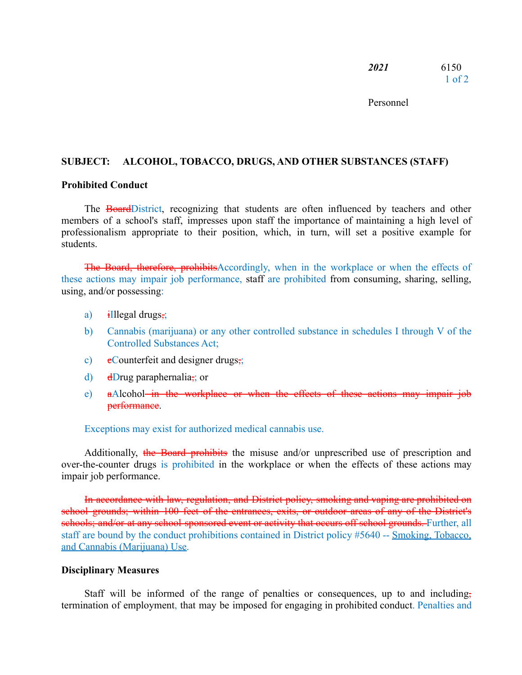Personnel

## **SUBJECT: ALCOHOL, TOBACCO, DRUGS, AND OTHER SUBSTANCES (STAFF)**

### **Prohibited Conduct**

The **Board**District, recognizing that students are often influenced by teachers and other members of a school's staff, impresses upon staff the importance of maintaining a high level of professionalism appropriate to their position, which, in turn, will set a positive example for students.

The Board, therefore, prohibitsAccordingly, when in the workplace or when the effects of these actions may impair job performance, staff are prohibited from consuming, sharing, selling, using, and/or possessing:

- a)  $\frac{1}{2}$ illegal drugs,
- b) Cannabis (marijuana) or any other controlled substance in schedules I through V of the Controlled Substances Act;
- c)  $e$ Counterfeit and designer drugs,
- d) dDrug paraphernalia<sub> $\vec{a}$ </sub>; or
- e) aAlcohol in the workplace or when the effects of these actions may impair job performance.

Exceptions may exist for authorized medical cannabis use.

Additionally, the Board prohibits the misuse and/or unprescribed use of prescription and over-the-counter drugs is prohibited in the workplace or when the effects of these actions may impair job performance.

In accordance with law, regulation, and District policy, smoking and vaping are prohibited on school grounds; within 100 feet of the entrances, exits, or outdoor areas of any of the District's schools; and/or at any school-sponsored event or activity that occurs off school grounds. Further, all staff are bound by the conduct prohibitions contained in District policy #5640 -- Smoking, Tobacco, and Cannabis (Marijuana) Use.

#### **Disciplinary Measures**

Staff will be informed of the range of penalties or consequences, up to and including, termination of employment, that may be imposed for engaging in prohibited conduct. Penalties and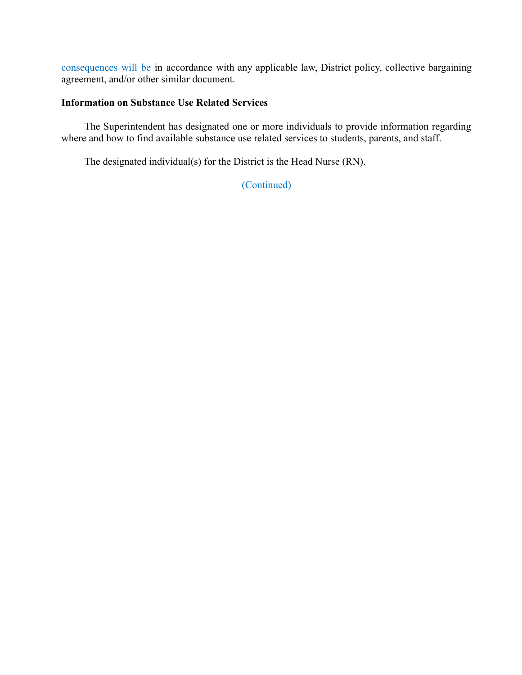consequences will be in accordance with any applicable law, District policy, collective bargaining agreement, and/or other similar document.

## **Information on Substance Use Related Services**

The Superintendent has designated one or more individuals to provide information regarding where and how to find available substance use related services to students, parents, and staff.

The designated individual(s) for the District is the Head Nurse (RN).

(Continued)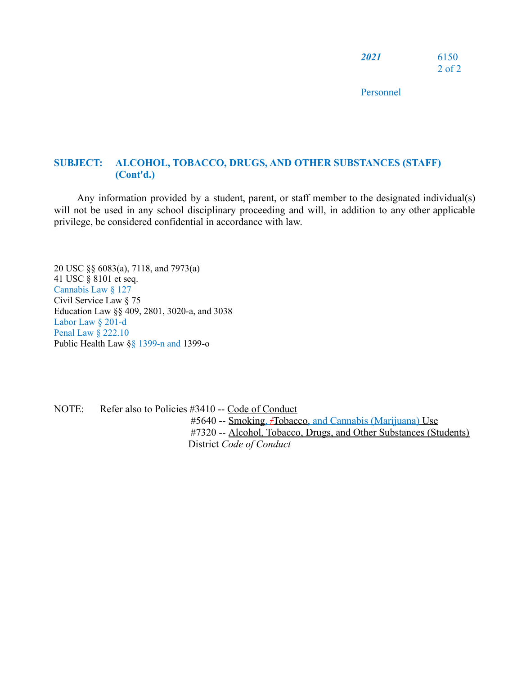| <i>2021</i> | 6150       |
|-------------|------------|
|             | $2$ of $2$ |

Personnel

# **SUBJECT: ALCOHOL, TOBACCO, DRUGS, AND OTHER SUBSTANCES (STAFF) (Cont'd.)**

Any information provided by a student, parent, or staff member to the designated individual(s) will not be used in any school disciplinary proceeding and will, in addition to any other applicable privilege, be considered confidential in accordance with law.

20 USC §§ 6083(a), 7118, and 7973(a) 41 USC § 8101 et seq. Cannabis Law § 127 Civil Service Law § 75 Education Law §§ 409, 2801, 3020-a, and 3038 Labor Law § 201-d Penal Law § 222.10 Public Health Law §§ 1399-n and 1399-o

NOTE: Refer also to Policies #3410 -- Code of Conduct #5640 -- Smoking, /Tobacco, and Cannabis (Marijuana) Use #7320 -- Alcohol, Tobacco, Drugs, and Other Substances (Students) District *Code of Conduct*